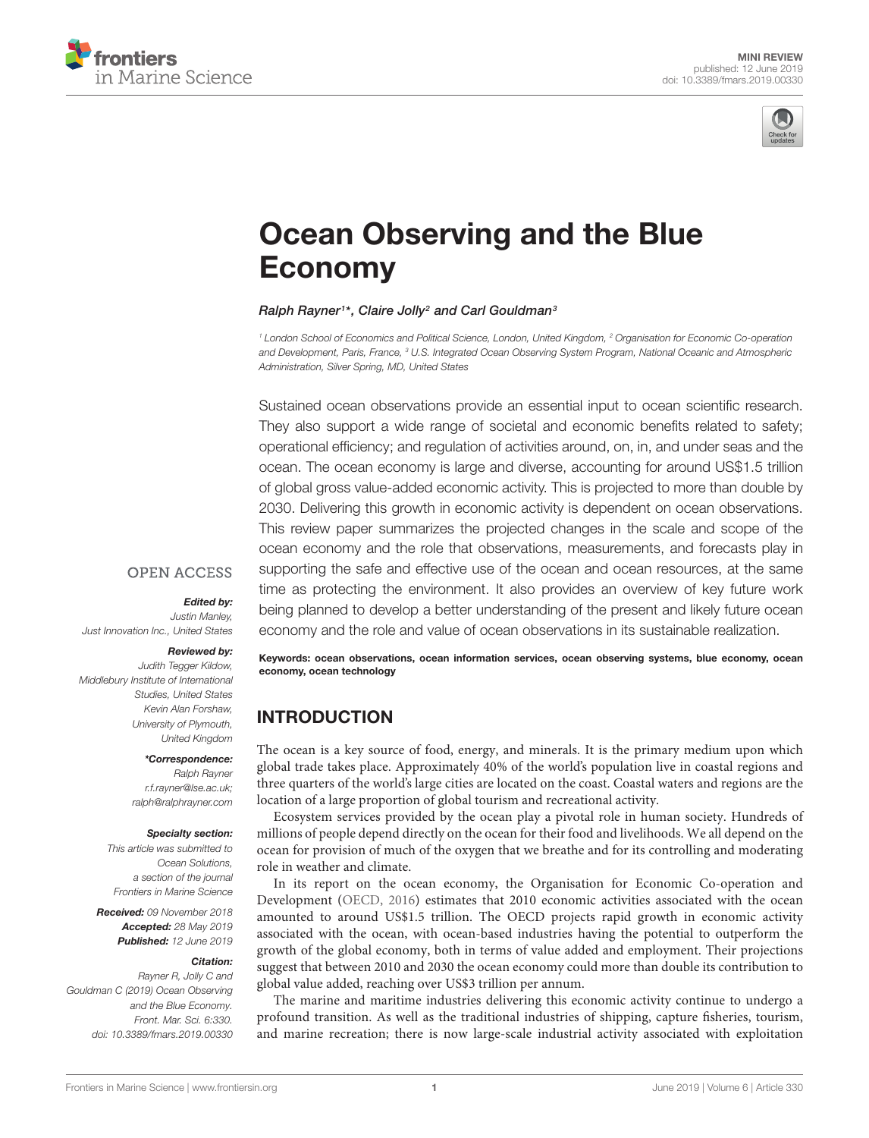



# [Ocean Observing and the Blue](https://www.frontiersin.org/articles/10.3389/fmars.2019.00330/full) Economy

#### [Ralph Rayner](http://loop.frontiersin.org/people/640683/overview)<sup>1</sup> \*, Claire Jolly<sup>2</sup> and [Carl Gouldman](http://loop.frontiersin.org/people/634973/overview)<sup>3</sup>

<sup>1</sup> London School of Economics and Political Science, London, United Kingdom, <sup>2</sup> Organisation for Economic Co-operation and Development, Paris, France, <sup>3</sup> U.S. Integrated Ocean Observing System Program, National Oceanic and Atmospheric Administration, Silver Spring, MD, United States

Sustained ocean observations provide an essential input to ocean scientific research. They also support a wide range of societal and economic benefits related to safety; operational efficiency; and regulation of activities around, on, in, and under seas and the ocean. The ocean economy is large and diverse, accounting for around US\$1.5 trillion of global gross value-added economic activity. This is projected to more than double by 2030. Delivering this growth in economic activity is dependent on ocean observations. This review paper summarizes the projected changes in the scale and scope of the ocean economy and the role that observations, measurements, and forecasts play in supporting the safe and effective use of the ocean and ocean resources, at the same time as protecting the environment. It also provides an overview of key future work being planned to develop a better understanding of the present and likely future ocean economy and the role and value of ocean observations in its sustainable realization.

#### **OPEN ACCESS**

#### Edited by:

Justin Manley, Just Innovation Inc., United States

#### Reviewed by:

Judith Tegger Kildow, Middlebury Institute of International Studies, United States Kevin Alan Forshaw, University of Plymouth, United Kingdom

#### \*Correspondence:

Ralph Rayner r.f.rayner@lse.ac.uk; ralph@ralphrayner.com

#### Specialty section:

This article was submitted to Ocean Solutions, a section of the journal Frontiers in Marine Science

Received: 09 November 2018 Accepted: 28 May 2019 Published: 12 June 2019

#### Citation:

Rayner R, Jolly C and Gouldman C (2019) Ocean Observing and the Blue Economy. Front. Mar. Sci. 6:330. doi: [10.3389/fmars.2019.00330](https://doi.org/10.3389/fmars.2019.00330)

Keywords: ocean observations, ocean information services, ocean observing systems, blue economy, ocean economy, ocean technology

## INTRODUCTION

The ocean is a key source of food, energy, and minerals. It is the primary medium upon which global trade takes place. Approximately 40% of the world's population live in coastal regions and three quarters of the world's large cities are located on the coast. Coastal waters and regions are the location of a large proportion of global tourism and recreational activity.

Ecosystem services provided by the ocean play a pivotal role in human society. Hundreds of millions of people depend directly on the ocean for their food and livelihoods. We all depend on the ocean for provision of much of the oxygen that we breathe and for its controlling and moderating role in weather and climate.

In its report on the ocean economy, the Organisation for Economic Co-operation and Development [\(OECD,](#page-5-0) [2016\)](#page-5-0) estimates that 2010 economic activities associated with the ocean amounted to around US\$1.5 trillion. The OECD projects rapid growth in economic activity associated with the ocean, with ocean-based industries having the potential to outperform the growth of the global economy, both in terms of value added and employment. Their projections suggest that between 2010 and 2030 the ocean economy could more than double its contribution to global value added, reaching over US\$3 trillion per annum.

The marine and maritime industries delivering this economic activity continue to undergo a profound transition. As well as the traditional industries of shipping, capture fisheries, tourism, and marine recreation; there is now large-scale industrial activity associated with exploitation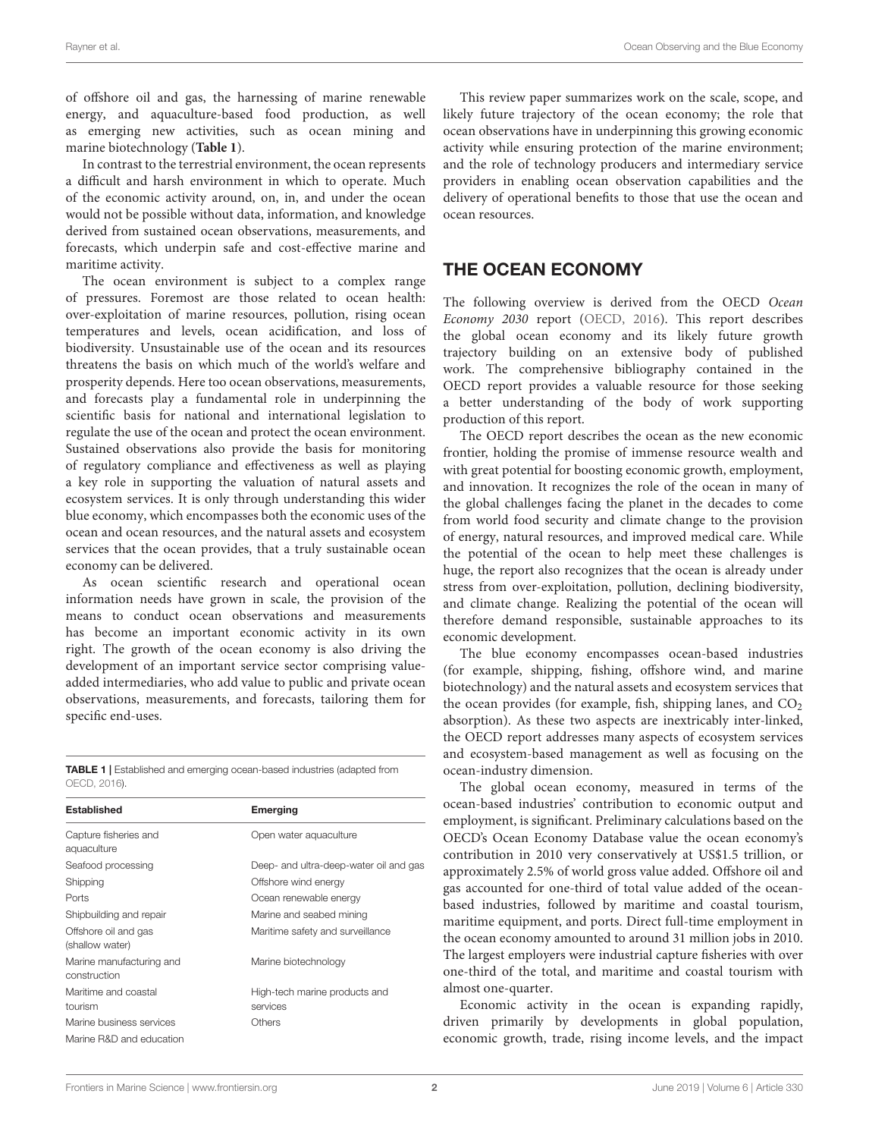of offshore oil and gas, the harnessing of marine renewable energy, and aquaculture-based food production, as well as emerging new activities, such as ocean mining and marine biotechnology (**[Table 1](#page-1-0)**).

In contrast to the terrestrial environment, the ocean represents a difficult and harsh environment in which to operate. Much of the economic activity around, on, in, and under the ocean would not be possible without data, information, and knowledge derived from sustained ocean observations, measurements, and forecasts, which underpin safe and cost-effective marine and maritime activity.

The ocean environment is subject to a complex range of pressures. Foremost are those related to ocean health: over-exploitation of marine resources, pollution, rising ocean temperatures and levels, ocean acidification, and loss of biodiversity. Unsustainable use of the ocean and its resources threatens the basis on which much of the world's welfare and prosperity depends. Here too ocean observations, measurements, and forecasts play a fundamental role in underpinning the scientific basis for national and international legislation to regulate the use of the ocean and protect the ocean environment. Sustained observations also provide the basis for monitoring of regulatory compliance and effectiveness as well as playing a key role in supporting the valuation of natural assets and ecosystem services. It is only through understanding this wider blue economy, which encompasses both the economic uses of the ocean and ocean resources, and the natural assets and ecosystem services that the ocean provides, that a truly sustainable ocean economy can be delivered.

As ocean scientific research and operational ocean information needs have grown in scale, the provision of the means to conduct ocean observations and measurements has become an important economic activity in its own right. The growth of the ocean economy is also driving the development of an important service sector comprising valueadded intermediaries, who add value to public and private ocean observations, measurements, and forecasts, tailoring them for specific end-uses.

<span id="page-1-0"></span>TABLE 1 | Established and emerging ocean-based industries (adapted from [OECD,](#page-5-0) [2016\)](#page-5-0).

| <b>Established</b>                       | <b>Emerging</b>                           |  |
|------------------------------------------|-------------------------------------------|--|
| Capture fisheries and<br>aquaculture     | Open water aquaculture                    |  |
| Seafood processing                       | Deep- and ultra-deep-water oil and gas    |  |
| Shipping                                 | Offshore wind energy                      |  |
| Ports                                    | Ocean renewable energy                    |  |
| Shipbuilding and repair                  | Marine and seabed mining                  |  |
| Offshore oil and gas<br>(shallow water)  | Maritime safety and surveillance          |  |
| Marine manufacturing and<br>construction | Marine biotechnology                      |  |
| Maritime and coastal<br>tourism          | High-tech marine products and<br>services |  |
| Marine business services                 | Others                                    |  |
| Marine R&D and education                 |                                           |  |

This review paper summarizes work on the scale, scope, and likely future trajectory of the ocean economy; the role that ocean observations have in underpinning this growing economic activity while ensuring protection of the marine environment; and the role of technology producers and intermediary service providers in enabling ocean observation capabilities and the delivery of operational benefits to those that use the ocean and ocean resources.

# THE OCEAN ECONOMY

The following overview is derived from the OECD Ocean Economy 2030 report [\(OECD,](#page-5-0) [2016\)](#page-5-0). This report describes the global ocean economy and its likely future growth trajectory building on an extensive body of published work. The comprehensive bibliography contained in the OECD report provides a valuable resource for those seeking a better understanding of the body of work supporting production of this report.

The OECD report describes the ocean as the new economic frontier, holding the promise of immense resource wealth and with great potential for boosting economic growth, employment, and innovation. It recognizes the role of the ocean in many of the global challenges facing the planet in the decades to come from world food security and climate change to the provision of energy, natural resources, and improved medical care. While the potential of the ocean to help meet these challenges is huge, the report also recognizes that the ocean is already under stress from over-exploitation, pollution, declining biodiversity, and climate change. Realizing the potential of the ocean will therefore demand responsible, sustainable approaches to its economic development.

The blue economy encompasses ocean-based industries (for example, shipping, fishing, offshore wind, and marine biotechnology) and the natural assets and ecosystem services that the ocean provides (for example, fish, shipping lanes, and  $CO<sub>2</sub>$ absorption). As these two aspects are inextricably inter-linked, the OECD report addresses many aspects of ecosystem services and ecosystem-based management as well as focusing on the ocean-industry dimension.

The global ocean economy, measured in terms of the ocean-based industries' contribution to economic output and employment, is significant. Preliminary calculations based on the OECD's Ocean Economy Database value the ocean economy's contribution in 2010 very conservatively at US\$1.5 trillion, or approximately 2.5% of world gross value added. Offshore oil and gas accounted for one-third of total value added of the oceanbased industries, followed by maritime and coastal tourism, maritime equipment, and ports. Direct full-time employment in the ocean economy amounted to around 31 million jobs in 2010. The largest employers were industrial capture fisheries with over one-third of the total, and maritime and coastal tourism with almost one-quarter.

Economic activity in the ocean is expanding rapidly, driven primarily by developments in global population, economic growth, trade, rising income levels, and the impact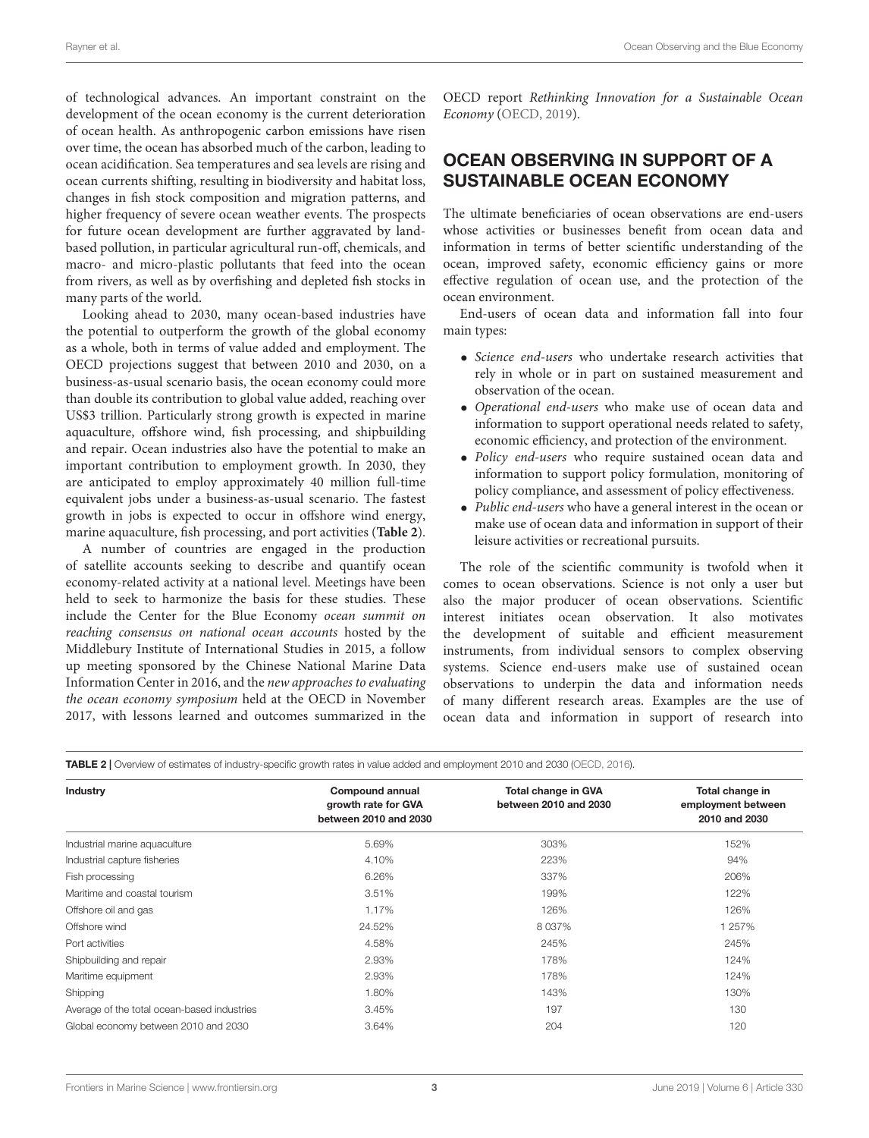of technological advances. An important constraint on the development of the ocean economy is the current deterioration of ocean health. As anthropogenic carbon emissions have risen over time, the ocean has absorbed much of the carbon, leading to ocean acidification. Sea temperatures and sea levels are rising and ocean currents shifting, resulting in biodiversity and habitat loss, changes in fish stock composition and migration patterns, and higher frequency of severe ocean weather events. The prospects for future ocean development are further aggravated by landbased pollution, in particular agricultural run-off, chemicals, and macro- and micro-plastic pollutants that feed into the ocean from rivers, as well as by overfishing and depleted fish stocks in many parts of the world.

Looking ahead to 2030, many ocean-based industries have the potential to outperform the growth of the global economy as a whole, both in terms of value added and employment. The OECD projections suggest that between 2010 and 2030, on a business-as-usual scenario basis, the ocean economy could more than double its contribution to global value added, reaching over US\$3 trillion. Particularly strong growth is expected in marine aquaculture, offshore wind, fish processing, and shipbuilding and repair. Ocean industries also have the potential to make an important contribution to employment growth. In 2030, they are anticipated to employ approximately 40 million full-time equivalent jobs under a business-as-usual scenario. The fastest growth in jobs is expected to occur in offshore wind energy, marine aquaculture, fish processing, and port activities (**[Table 2](#page-2-0)**).

A number of countries are engaged in the production of satellite accounts seeking to describe and quantify ocean economy-related activity at a national level. Meetings have been held to seek to harmonize the basis for these studies. These include the Center for the Blue Economy ocean summit on reaching consensus on national ocean accounts hosted by the Middlebury Institute of International Studies in 2015, a follow up meeting sponsored by the Chinese National Marine Data Information Center in 2016, and the new approaches to evaluating the ocean economy symposium held at the OECD in November 2017, with lessons learned and outcomes summarized in the OECD report Rethinking Innovation for a Sustainable Ocean Economy [\(OECD,](#page-5-1) [2019\)](#page-5-1).

# OCEAN OBSERVING IN SUPPORT OF A SUSTAINABLE OCEAN ECONOMY

The ultimate beneficiaries of ocean observations are end-users whose activities or businesses benefit from ocean data and information in terms of better scientific understanding of the ocean, improved safety, economic efficiency gains or more effective regulation of ocean use, and the protection of the ocean environment.

End-users of ocean data and information fall into four main types:

- Science end-users who undertake research activities that rely in whole or in part on sustained measurement and observation of the ocean.
- Operational end-users who make use of ocean data and information to support operational needs related to safety, economic efficiency, and protection of the environment.
- Policy end-users who require sustained ocean data and information to support policy formulation, monitoring of policy compliance, and assessment of policy effectiveness.
- Public end-users who have a general interest in the ocean or make use of ocean data and information in support of their leisure activities or recreational pursuits.

The role of the scientific community is twofold when it comes to ocean observations. Science is not only a user but also the major producer of ocean observations. Scientific interest initiates ocean observation. It also motivates the development of suitable and efficient measurement instruments, from individual sensors to complex observing systems. Science end-users make use of sustained ocean observations to underpin the data and information needs of many different research areas. Examples are the use of ocean data and information in support of research into

<span id="page-2-0"></span>TABLE 2 | Overview of estimates of industry-specific growth rates in value added and employment 2010 and 2030 [\(OECD,](#page-5-0) [2016\)](#page-5-0).

| Industry                                    | <b>Compound annual</b><br>growth rate for GVA<br>between 2010 and 2030 | <b>Total change in GVA</b><br>between 2010 and 2030 | Total change in<br>employment between<br>2010 and 2030 |  |
|---------------------------------------------|------------------------------------------------------------------------|-----------------------------------------------------|--------------------------------------------------------|--|
| Industrial marine aquaculture               | 5.69%                                                                  | 303%                                                | 152%                                                   |  |
| Industrial capture fisheries                | 4.10%                                                                  | 223%                                                | 94%                                                    |  |
| Fish processing                             | 6.26%                                                                  | 337%                                                | 206%                                                   |  |
| Maritime and coastal tourism                | 3.51%                                                                  | 199%                                                | 122%                                                   |  |
| Offshore oil and gas                        | 1.17%                                                                  | 126%                                                | 126%                                                   |  |
| Offshore wind                               | 24.52%                                                                 | 8037%                                               | 1 257%                                                 |  |
| Port activities                             | 4.58%                                                                  | 245%                                                | 245%                                                   |  |
| Shipbuilding and repair                     | 2.93%                                                                  | 178%                                                | 124%                                                   |  |
| Maritime equipment                          | 2.93%                                                                  | 178%                                                | 124%                                                   |  |
| Shipping                                    | 1.80%                                                                  | 143%                                                | 130%                                                   |  |
| Average of the total ocean-based industries | 3.45%                                                                  | 197                                                 | 130                                                    |  |
| Global economy between 2010 and 2030        | 3.64%                                                                  | 204                                                 | 120                                                    |  |
|                                             |                                                                        |                                                     |                                                        |  |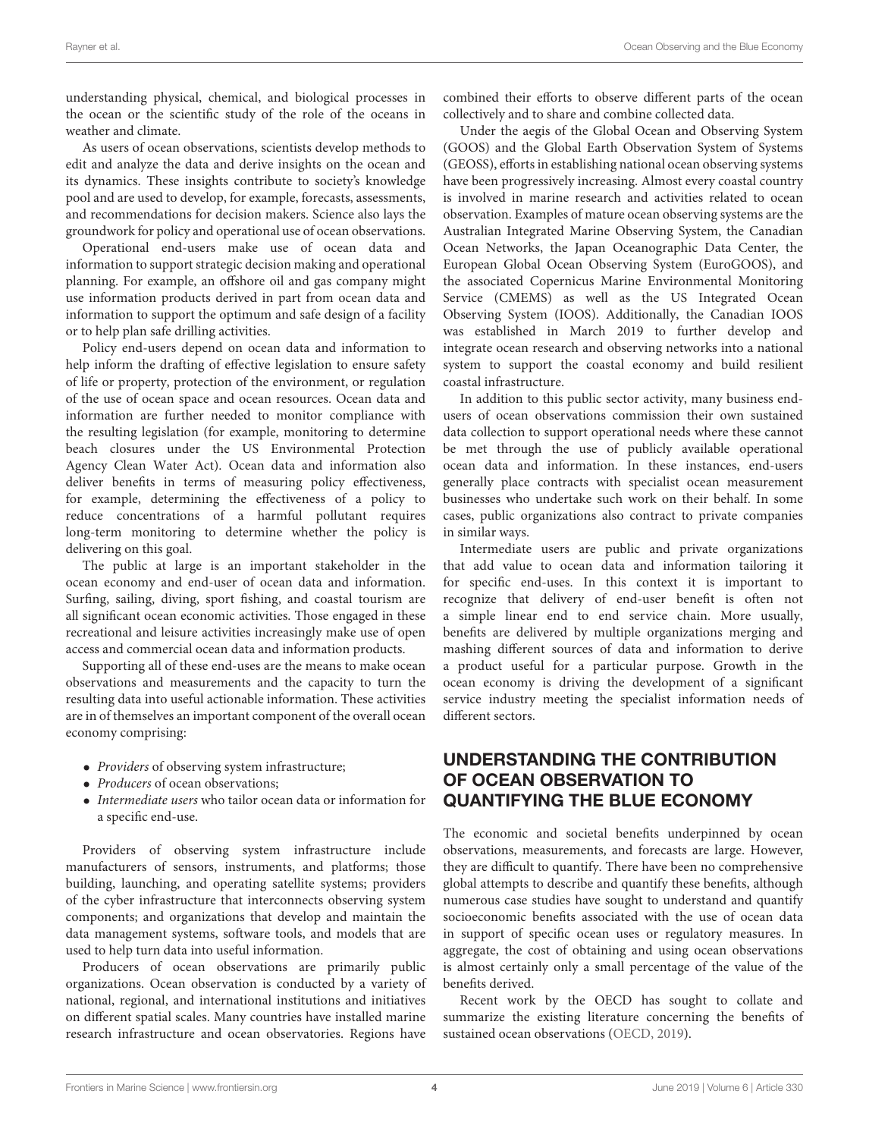understanding physical, chemical, and biological processes in the ocean or the scientific study of the role of the oceans in weather and climate.

As users of ocean observations, scientists develop methods to edit and analyze the data and derive insights on the ocean and its dynamics. These insights contribute to society's knowledge pool and are used to develop, for example, forecasts, assessments, and recommendations for decision makers. Science also lays the groundwork for policy and operational use of ocean observations.

Operational end-users make use of ocean data and information to support strategic decision making and operational planning. For example, an offshore oil and gas company might use information products derived in part from ocean data and information to support the optimum and safe design of a facility or to help plan safe drilling activities.

Policy end-users depend on ocean data and information to help inform the drafting of effective legislation to ensure safety of life or property, protection of the environment, or regulation of the use of ocean space and ocean resources. Ocean data and information are further needed to monitor compliance with the resulting legislation (for example, monitoring to determine beach closures under the US Environmental Protection Agency Clean Water Act). Ocean data and information also deliver benefits in terms of measuring policy effectiveness, for example, determining the effectiveness of a policy to reduce concentrations of a harmful pollutant requires long-term monitoring to determine whether the policy is delivering on this goal.

The public at large is an important stakeholder in the ocean economy and end-user of ocean data and information. Surfing, sailing, diving, sport fishing, and coastal tourism are all significant ocean economic activities. Those engaged in these recreational and leisure activities increasingly make use of open access and commercial ocean data and information products.

Supporting all of these end-uses are the means to make ocean observations and measurements and the capacity to turn the resulting data into useful actionable information. These activities are in of themselves an important component of the overall ocean economy comprising:

- Providers of observing system infrastructure;
- Producers of ocean observations:
- Intermediate users who tailor ocean data or information for a specific end-use.

Providers of observing system infrastructure include manufacturers of sensors, instruments, and platforms; those building, launching, and operating satellite systems; providers of the cyber infrastructure that interconnects observing system components; and organizations that develop and maintain the data management systems, software tools, and models that are used to help turn data into useful information.

Producers of ocean observations are primarily public organizations. Ocean observation is conducted by a variety of national, regional, and international institutions and initiatives on different spatial scales. Many countries have installed marine research infrastructure and ocean observatories. Regions have

combined their efforts to observe different parts of the ocean collectively and to share and combine collected data.

Under the aegis of the Global Ocean and Observing System (GOOS) and the Global Earth Observation System of Systems (GEOSS), efforts in establishing national ocean observing systems have been progressively increasing. Almost every coastal country is involved in marine research and activities related to ocean observation. Examples of mature ocean observing systems are the Australian Integrated Marine Observing System, the Canadian Ocean Networks, the Japan Oceanographic Data Center, the European Global Ocean Observing System (EuroGOOS), and the associated Copernicus Marine Environmental Monitoring Service (CMEMS) as well as the US Integrated Ocean Observing System (IOOS). Additionally, the Canadian IOOS was established in March 2019 to further develop and integrate ocean research and observing networks into a national system to support the coastal economy and build resilient coastal infrastructure.

In addition to this public sector activity, many business endusers of ocean observations commission their own sustained data collection to support operational needs where these cannot be met through the use of publicly available operational ocean data and information. In these instances, end-users generally place contracts with specialist ocean measurement businesses who undertake such work on their behalf. In some cases, public organizations also contract to private companies in similar ways.

Intermediate users are public and private organizations that add value to ocean data and information tailoring it for specific end-uses. In this context it is important to recognize that delivery of end-user benefit is often not a simple linear end to end service chain. More usually, benefits are delivered by multiple organizations merging and mashing different sources of data and information to derive a product useful for a particular purpose. Growth in the ocean economy is driving the development of a significant service industry meeting the specialist information needs of different sectors.

### UNDERSTANDING THE CONTRIBUTION OF OCEAN OBSERVATION TO QUANTIFYING THE BLUE ECONOMY

The economic and societal benefits underpinned by ocean observations, measurements, and forecasts are large. However, they are difficult to quantify. There have been no comprehensive global attempts to describe and quantify these benefits, although numerous case studies have sought to understand and quantify socioeconomic benefits associated with the use of ocean data in support of specific ocean uses or regulatory measures. In aggregate, the cost of obtaining and using ocean observations is almost certainly only a small percentage of the value of the benefits derived.

Recent work by the OECD has sought to collate and summarize the existing literature concerning the benefits of sustained ocean observations [\(OECD,](#page-5-1) [2019\)](#page-5-1).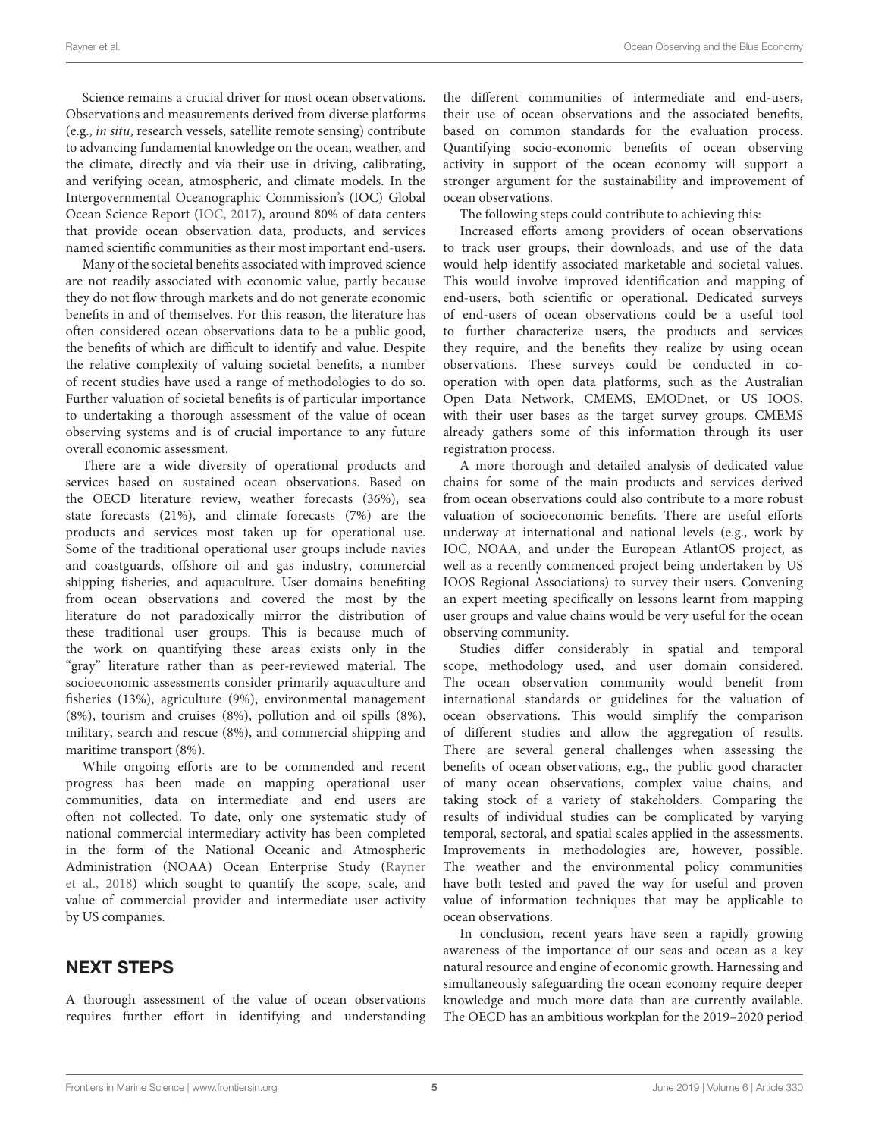Science remains a crucial driver for most ocean observations. Observations and measurements derived from diverse platforms (e.g., in situ, research vessels, satellite remote sensing) contribute to advancing fundamental knowledge on the ocean, weather, and the climate, directly and via their use in driving, calibrating, and verifying ocean, atmospheric, and climate models. In the Intergovernmental Oceanographic Commission's (IOC) Global Ocean Science Report [\(IOC,](#page-5-2) [2017\)](#page-5-2), around 80% of data centers that provide ocean observation data, products, and services named scientific communities as their most important end-users.

Many of the societal benefits associated with improved science are not readily associated with economic value, partly because they do not flow through markets and do not generate economic benefits in and of themselves. For this reason, the literature has often considered ocean observations data to be a public good, the benefits of which are difficult to identify and value. Despite the relative complexity of valuing societal benefits, a number of recent studies have used a range of methodologies to do so. Further valuation of societal benefits is of particular importance to undertaking a thorough assessment of the value of ocean observing systems and is of crucial importance to any future overall economic assessment.

There are a wide diversity of operational products and services based on sustained ocean observations. Based on the OECD literature review, weather forecasts (36%), sea state forecasts (21%), and climate forecasts (7%) are the products and services most taken up for operational use. Some of the traditional operational user groups include navies and coastguards, offshore oil and gas industry, commercial shipping fisheries, and aquaculture. User domains benefiting from ocean observations and covered the most by the literature do not paradoxically mirror the distribution of these traditional user groups. This is because much of the work on quantifying these areas exists only in the "gray" literature rather than as peer-reviewed material. The socioeconomic assessments consider primarily aquaculture and fisheries (13%), agriculture (9%), environmental management (8%), tourism and cruises (8%), pollution and oil spills (8%), military, search and rescue (8%), and commercial shipping and maritime transport (8%).

While ongoing efforts are to be commended and recent progress has been made on mapping operational user communities, data on intermediate and end users are often not collected. To date, only one systematic study of national commercial intermediary activity has been completed in the form of the National Oceanic and Atmospheric Administration (NOAA) Ocean Enterprise Study [\(Rayner](#page-5-3) [et al.,](#page-5-3) [2018\)](#page-5-3) which sought to quantify the scope, scale, and value of commercial provider and intermediate user activity by US companies.

### NEXT STEPS

A thorough assessment of the value of ocean observations requires further effort in identifying and understanding the different communities of intermediate and end-users, their use of ocean observations and the associated benefits, based on common standards for the evaluation process. Quantifying socio-economic benefits of ocean observing activity in support of the ocean economy will support a stronger argument for the sustainability and improvement of ocean observations.

The following steps could contribute to achieving this:

Increased efforts among providers of ocean observations to track user groups, their downloads, and use of the data would help identify associated marketable and societal values. This would involve improved identification and mapping of end-users, both scientific or operational. Dedicated surveys of end-users of ocean observations could be a useful tool to further characterize users, the products and services they require, and the benefits they realize by using ocean observations. These surveys could be conducted in cooperation with open data platforms, such as the Australian Open Data Network, CMEMS, EMODnet, or US IOOS, with their user bases as the target survey groups. CMEMS already gathers some of this information through its user registration process.

A more thorough and detailed analysis of dedicated value chains for some of the main products and services derived from ocean observations could also contribute to a more robust valuation of socioeconomic benefits. There are useful efforts underway at international and national levels (e.g., work by IOC, NOAA, and under the European AtlantOS project, as well as a recently commenced project being undertaken by US IOOS Regional Associations) to survey their users. Convening an expert meeting specifically on lessons learnt from mapping user groups and value chains would be very useful for the ocean observing community.

Studies differ considerably in spatial and temporal scope, methodology used, and user domain considered. The ocean observation community would benefit from international standards or guidelines for the valuation of ocean observations. This would simplify the comparison of different studies and allow the aggregation of results. There are several general challenges when assessing the benefits of ocean observations, e.g., the public good character of many ocean observations, complex value chains, and taking stock of a variety of stakeholders. Comparing the results of individual studies can be complicated by varying temporal, sectoral, and spatial scales applied in the assessments. Improvements in methodologies are, however, possible. The weather and the environmental policy communities have both tested and paved the way for useful and proven value of information techniques that may be applicable to ocean observations.

In conclusion, recent years have seen a rapidly growing awareness of the importance of our seas and ocean as a key natural resource and engine of economic growth. Harnessing and simultaneously safeguarding the ocean economy require deeper knowledge and much more data than are currently available. The OECD has an ambitious workplan for the 2019–2020 period